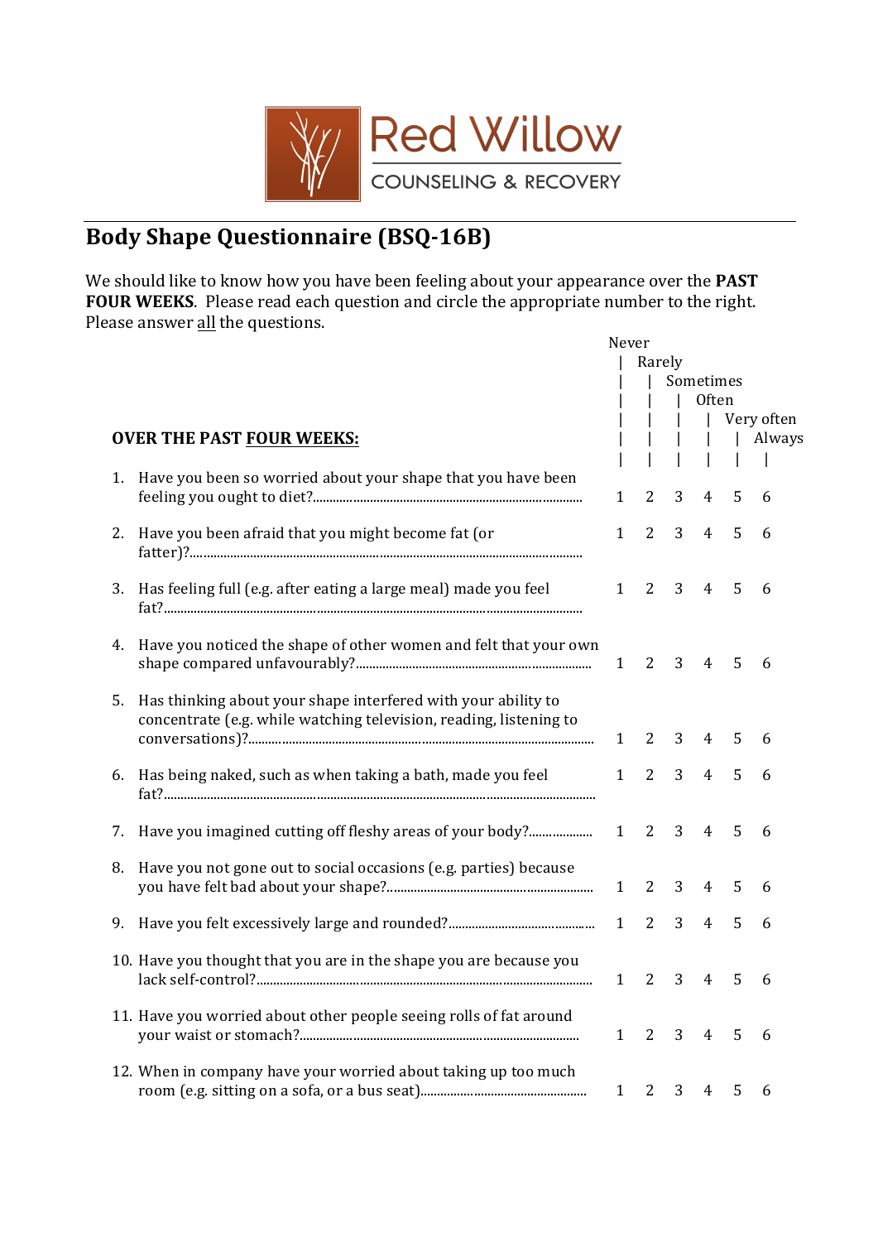

## **Body Shape Questionnaire (BSQ-16B)**

We should like to know how you have been feeling about your appearance over the **PAST FOUR WEEKS**. Please read each question and circle the appropriate number to the right. Please answer all the questions.

|    |                                                                     | Never        |        |              |                |   |            |
|----|---------------------------------------------------------------------|--------------|--------|--------------|----------------|---|------------|
|    |                                                                     |              | Rarely |              |                |   |            |
|    |                                                                     |              |        |              | Sometimes      |   |            |
|    |                                                                     |              |        | $\mathbf{I}$ | Often          |   |            |
|    |                                                                     |              |        |              |                |   | Very often |
|    | <b>OVER THE PAST FOUR WEEKS:</b>                                    |              |        |              |                |   | Always     |
|    | 1. Have you been so worried about your shape that you have been     |              |        |              |                |   |            |
|    |                                                                     | $\mathbf{1}$ | 2      | 3            | 4              | 5 | 6          |
|    |                                                                     |              |        |              |                |   |            |
| 2. | Have you been afraid that you might become fat (or                  | $\mathbf{1}$ | 2      | 3            | $\overline{4}$ | 5 | 6          |
|    |                                                                     |              |        |              |                |   |            |
|    |                                                                     |              |        |              |                |   |            |
|    | 3. Has feeling full (e.g. after eating a large meal) made you feel  | $\mathbf{1}$ | 2      | 3            | $\overline{4}$ | 5 | 6          |
|    |                                                                     |              |        |              |                |   |            |
|    |                                                                     |              |        |              |                |   |            |
|    | 4. Have you noticed the shape of other women and felt that your own |              |        | 3            |                |   |            |
|    |                                                                     | $\mathbf{1}$ | 2      |              | $\overline{4}$ | 5 | 6          |
| 5. | Has thinking about your shape interfered with your ability to       |              |        |              |                |   |            |
|    | concentrate (e.g. while watching television, reading, listening to  |              |        |              |                |   |            |
|    |                                                                     | $\mathbf{1}$ | 2      | 3            | 4              | 5 | 6          |
|    |                                                                     |              |        |              |                |   |            |
| 6. | Has being naked, such as when taking a bath, made you feel          | $\mathbf{1}$ | 2      | 3            | 4              | 5 | 6          |
|    |                                                                     |              |        |              |                |   |            |
|    |                                                                     |              |        |              |                |   |            |
| 7. |                                                                     |              | 2      | 3            | 4              | 5 | 6          |
| 8. | Have you not gone out to social occasions (e.g. parties) because    |              |        |              |                |   |            |
|    |                                                                     | $\mathbf{1}$ | 2      | 3            | $\overline{4}$ | 5 | 6          |
|    |                                                                     |              |        |              |                |   |            |
| 9. |                                                                     | $\mathbf{1}$ | 2      | 3            | 4              | 5 | 6          |
|    |                                                                     |              |        |              |                |   |            |
|    | 10. Have you thought that you are in the shape you are because you  |              |        |              |                |   |            |
|    |                                                                     | $\mathbf{1}$ | 2      | 3            | 4              | 5 | 6          |
|    |                                                                     |              |        |              |                |   |            |
|    | 11. Have you worried about other people seeing rolls of fat around  | $\mathbf{1}$ | 2      | 3            | $\overline{4}$ | 5 | 6          |
|    |                                                                     |              |        |              |                |   |            |
|    | 12. When in company have your worried about taking up too much      |              |        |              |                |   |            |
|    |                                                                     | $\mathbf{1}$ | 2      | 3            | 4              | 5 | 6          |
|    |                                                                     |              |        |              |                |   |            |